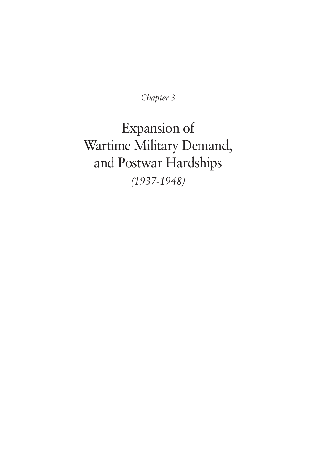*Chapter 3*

Expansion of Wartime Military Demand, and Postwar Hardships *(1937-1948)*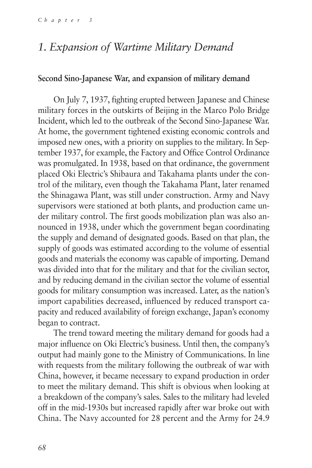## *1. Expansion of Wartime Military Demand*

### **Second Sino-Japanese War, and expansion of military demand**

On July 7, 1937, fighting erupted between Japanese and Chinese military forces in the outskirts of Beijing in the Marco Polo Bridge Incident, which led to the outbreak of the Second Sino-Japanese War. At home, the government tightened existing economic controls and imposed new ones, with a priority on supplies to the military. In September 1937, for example, the Factory and Office Control Ordinance was promulgated. In 1938, based on that ordinance, the government placed Oki Electric's Shibaura and Takahama plants under the control of the military, even though the Takahama Plant, later renamed the Shinagawa Plant, was still under construction. Army and Navy supervisors were stationed at both plants, and production came under military control. The first goods mobilization plan was also announced in 1938, under which the government began coordinating the supply and demand of designated goods. Based on that plan, the supply of goods was estimated according to the volume of essential goods and materials the economy was capable of importing. Demand was divided into that for the military and that for the civilian sector, and by reducing demand in the civilian sector the volume of essential goods for military consumption was increased. Later, as the nation's import capabilities decreased, influenced by reduced transport capacity and reduced availability of foreign exchange, Japan's economy began to contract.

The trend toward meeting the military demand for goods had a major influence on Oki Electric's business. Until then, the company's output had mainly gone to the Ministry of Communications. In line with requests from the military following the outbreak of war with China, however, it became necessary to expand production in order to meet the military demand. This shift is obvious when looking at a breakdown of the company's sales. Sales to the military had leveled off in the mid-1930s but increased rapidly after war broke out with China. The Navy accounted for 28 percent and the Army for 24.9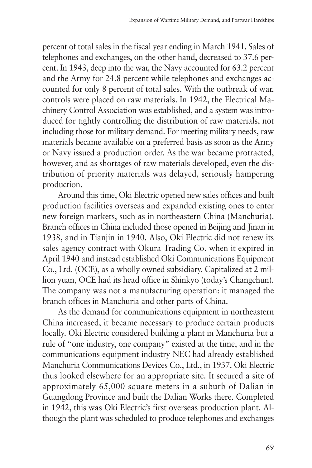percent of total sales in the fiscal year ending in March 1941. Sales of telephones and exchanges, on the other hand, decreased to 37.6 percent. In 1943, deep into the war, the Navy accounted for 63.2 percent and the Army for 24.8 percent while telephones and exchanges accounted for only 8 percent of total sales. With the outbreak of war, controls were placed on raw materials. In 1942, the Electrical Machinery Control Association was established, and a system was introduced for tightly controlling the distribution of raw materials, not including those for military demand. For meeting military needs, raw materials became available on a preferred basis as soon as the Army or Navy issued a production order. As the war became protracted, however, and as shortages of raw materials developed, even the distribution of priority materials was delayed, seriously hampering production.

Around this time, Oki Electric opened new sales offices and built production facilities overseas and expanded existing ones to enter new foreign markets, such as in northeastern China (Manchuria). Branch offices in China included those opened in Beijing and Jinan in 1938, and in Tianjin in 1940. Also, Oki Electric did not renew its sales agency contract with Okura Trading Co. when it expired in April 1940 and instead established Oki Communications Equipment Co., Ltd. (OCE), as a wholly owned subsidiary. Capitalized at 2 million yuan, OCE had its head office in Shinkyo (today's Changchun). The company was not a manufacturing operation: it managed the branch offices in Manchuria and other parts of China.

As the demand for communications equipment in northeastern China increased, it became necessary to produce certain products locally. Oki Electric considered building a plant in Manchuria but a rule of "one industry, one company" existed at the time, and in the communications equipment industry NEC had already established Manchuria Communications Devices Co., Ltd., in 1937. Oki Electric thus looked elsewhere for an appropriate site. It secured a site of approximately 65,000 square meters in a suburb of Dalian in Guangdong Province and built the Dalian Works there. Completed in 1942, this was Oki Electric's first overseas production plant. Although the plant was scheduled to produce telephones and exchanges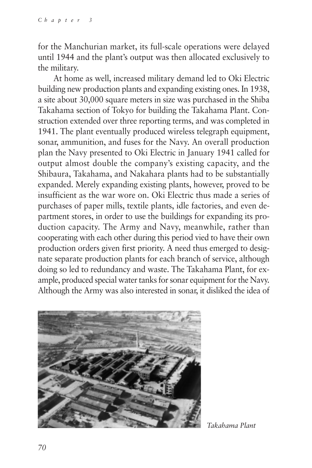for the Manchurian market, its full-scale operations were delayed until 1944 and the plant's output was then allocated exclusively to the military.

At home as well, increased military demand led to Oki Electric building new production plants and expanding existing ones. In 1938, a site about 30,000 square meters in size was purchased in the Shiba Takahama section of Tokyo for building the Takahama Plant. Construction extended over three reporting terms, and was completed in 1941. The plant eventually produced wireless telegraph equipment, sonar, ammunition, and fuses for the Navy. An overall production plan the Navy presented to Oki Electric in January 1941 called for output almost double the company's existing capacity, and the Shibaura, Takahama, and Nakahara plants had to be substantially expanded. Merely expanding existing plants, however, proved to be insufficient as the war wore on. Oki Electric thus made a series of purchases of paper mills, textile plants, idle factories, and even department stores, in order to use the buildings for expanding its production capacity. The Army and Navy, meanwhile, rather than cooperating with each other during this period vied to have their own production orders given first priority. A need thus emerged to designate separate production plants for each branch of service, although doing so led to redundancy and waste. The Takahama Plant, for example, produced special water tanks for sonar equipment for the Navy. Although the Army was also interested in sonar, it disliked the idea of



*Takahama Plant*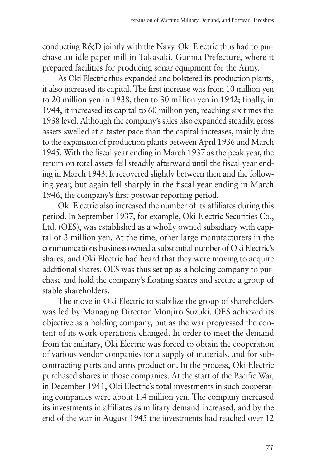conducting R&D jointly with the Navy. Oki Electric thus had to purchase an idle paper mill in Takasaki, Gunma Prefecture, where it prepared facilities for producing sonar equipment for the Army.

As Oki Electric thus expanded and bolstered its production plants, it also increased its capital. The first increase was from 10 million yen to 20 million yen in 1938, then to 30 million yen in 1942; finally, in 1944, it increased its capital to 60 million yen, reaching six times the 1938 level. Although the company's sales also expanded steadily, gross assets swelled at a faster pace than the capital increases, mainly due to the expansion of production plants between April 1936 and March 1945. With the fiscal year ending in March 1937 as the peak year, the return on total assets fell steadily afterward until the fiscal year ending in March 1943. It recovered slightly between then and the following year, but again fell sharply in the fiscal year ending in March 1946, the company's first postwar reporting period.

Oki Electric also increased the number of its affiliates during this period. In September 1937, for example, Oki Electric Securities Co., Ltd. (OES), was established as a wholly owned subsidiary with capital of 3 million yen. At the time, other large manufacturers in the communications business owned a substantial number of Oki Electric's shares, and Oki Electric had heard that they were moving to acquire additional shares. OES was thus set up as a holding company to purchase and hold the company's floating shares and secure a group of stable shareholders.

The move in Oki Electric to stabilize the group of shareholders was led by Managing Director Monjiro Suzuki. OES achieved its objective as a holding company, but as the war progressed the content of its work operations changed. In order to meet the demand from the military, Oki Electric was forced to obtain the cooperation of various vendor companies for a supply of materials, and for subcontracting parts and arms production. In the process, Oki Electric purchased shares in those companies. At the start of the Pacific War, in December 1941, Oki Electric's total investments in such cooperating companies were about 1.4 million yen. The company increased its investments in affiliates as military demand increased, and by the end of the war in August 1945 the investments had reached over 12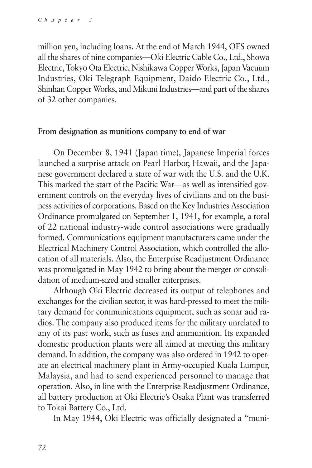million yen, including loans. At the end of March 1944, OES owned all the shares of nine companies—Oki Electric Cable Co., Ltd., Showa Electric, Tokyo Ota Electric, Nishikawa Copper Works, Japan Vacuum Industries, Oki Telegraph Equipment, Daido Electric Co., Ltd., Shinhan Copper Works, and Mikuni Industries—and part of the shares of 32 other companies.

### **From designation as munitions company to end of war**

On December 8, 1941 (Japan time), Japanese Imperial forces launched a surprise attack on Pearl Harbor, Hawaii, and the Japanese government declared a state of war with the U.S. and the U.K. This marked the start of the Pacific War—as well as intensified government controls on the everyday lives of civilians and on the business activities of corporations. Based on the Key Industries Association Ordinance promulgated on September 1, 1941, for example, a total of 22 national industry-wide control associations were gradually formed. Communications equipment manufacturers came under the Electrical Machinery Control Association, which controlled the allocation of all materials. Also, the Enterprise Readjustment Ordinance was promulgated in May 1942 to bring about the merger or consolidation of medium-sized and smaller enterprises.

Although Oki Electric decreased its output of telephones and exchanges for the civilian sector, it was hard-pressed to meet the military demand for communications equipment, such as sonar and radios. The company also produced items for the military unrelated to any of its past work, such as fuses and ammunition. Its expanded domestic production plants were all aimed at meeting this military demand. In addition, the company was also ordered in 1942 to operate an electrical machinery plant in Army-occupied Kuala Lumpur, Malaysia, and had to send experienced personnel to manage that operation. Also, in line with the Enterprise Readjustment Ordinance, all battery production at Oki Electric's Osaka Plant was transferred to Tokai Battery Co., Ltd.

In May 1944, Oki Electric was officially designated a "muni-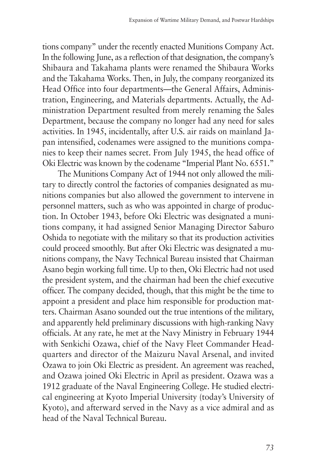tions company" under the recently enacted Munitions Company Act. In the following June, as a reflection of that designation, the company's Shibaura and Takahama plants were renamed the Shibaura Works and the Takahama Works. Then, in July, the company reorganized its Head Office into four departments—the General Affairs, Administration, Engineering, and Materials departments. Actually, the Administration Department resulted from merely renaming the Sales Department, because the company no longer had any need for sales activities. In 1945, incidentally, after U.S. air raids on mainland Japan intensified, codenames were assigned to the munitions companies to keep their names secret. From July 1945, the head office of Oki Electric was known by the codename "Imperial Plant No. 6551."

The Munitions Company Act of 1944 not only allowed the military to directly control the factories of companies designated as munitions companies but also allowed the government to intervene in personnel matters, such as who was appointed in charge of production. In October 1943, before Oki Electric was designated a munitions company, it had assigned Senior Managing Director Saburo Oshida to negotiate with the military so that its production activities could proceed smoothly. But after Oki Electric was designated a munitions company, the Navy Technical Bureau insisted that Chairman Asano begin working full time. Up to then, Oki Electric had not used the president system, and the chairman had been the chief executive officer. The company decided, though, that this might be the time to appoint a president and place him responsible for production matters. Chairman Asano sounded out the true intentions of the military, and apparently held preliminary discussions with high-ranking Navy officials. At any rate, he met at the Navy Ministry in February 1944 with Senkichi Ozawa, chief of the Navy Fleet Commander Headquarters and director of the Maizuru Naval Arsenal, and invited Ozawa to join Oki Electric as president. An agreement was reached, and Ozawa joined Oki Electric in April as president. Ozawa was a 1912 graduate of the Naval Engineering College. He studied electrical engineering at Kyoto Imperial University (today's University of Kyoto), and afterward served in the Navy as a vice admiral and as head of the Naval Technical Bureau.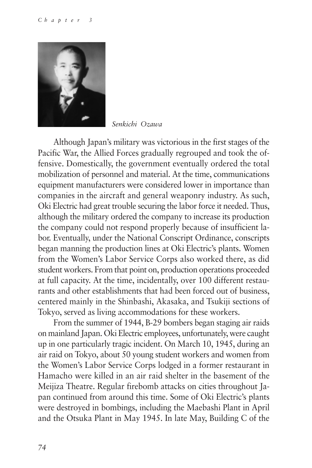

*Senkichi Ozawa*

Although Japan's military was victorious in the first stages of the Pacific War, the Allied Forces gradually regrouped and took the offensive. Domestically, the government eventually ordered the total mobilization of personnel and material. At the time, communications equipment manufacturers were considered lower in importance than companies in the aircraft and general weaponry industry. As such, Oki Electric had great trouble securing the labor force it needed. Thus, although the military ordered the company to increase its production the company could not respond properly because of insufficient labor. Eventually, under the National Conscript Ordinance, conscripts began manning the production lines at Oki Electric's plants. Women from the Women's Labor Service Corps also worked there, as did student workers. From that point on, production operations proceeded at full capacity. At the time, incidentally, over 100 different restaurants and other establishments that had been forced out of business, centered mainly in the Shinbashi, Akasaka, and Tsukiji sections of Tokyo, served as living accommodations for these workers.

From the summer of 1944, B-29 bombers began staging air raids on mainland Japan. Oki Electric employees, unfortunately, were caught up in one particularly tragic incident. On March 10, 1945, during an air raid on Tokyo, about 50 young student workers and women from the Women's Labor Service Corps lodged in a former restaurant in Hamacho were killed in an air raid shelter in the basement of the Meijiza Theatre. Regular firebomb attacks on cities throughout Japan continued from around this time. Some of Oki Electric's plants were destroyed in bombings, including the Maebashi Plant in April and the Otsuka Plant in May 1945. In late May, Building C of the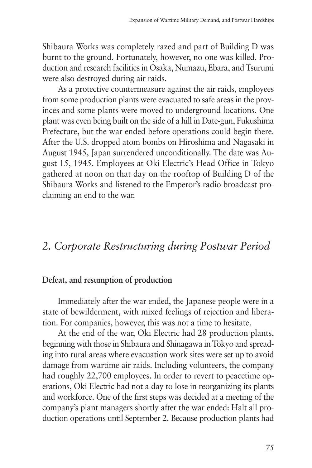Shibaura Works was completely razed and part of Building D was burnt to the ground. Fortunately, however, no one was killed. Production and research facilities in Osaka, Numazu, Ebara, and Tsurumi were also destroyed during air raids.

As a protective countermeasure against the air raids, employees from some production plants were evacuated to safe areas in the provinces and some plants were moved to underground locations. One plant was even being built on the side of a hill in Date-gun, Fukushima Prefecture, but the war ended before operations could begin there. After the U.S. dropped atom bombs on Hiroshima and Nagasaki in August 1945, Japan surrendered unconditionally. The date was August 15, 1945. Employees at Oki Electric's Head Office in Tokyo gathered at noon on that day on the rooftop of Building D of the Shibaura Works and listened to the Emperor's radio broadcast proclaiming an end to the war.

# *2. Corporate Restructuring during Postwar Period*

#### **Defeat, and resumption of production**

Immediately after the war ended, the Japanese people were in a state of bewilderment, with mixed feelings of rejection and liberation. For companies, however, this was not a time to hesitate.

At the end of the war, Oki Electric had 28 production plants, beginning with those in Shibaura and Shinagawa in Tokyo and spreading into rural areas where evacuation work sites were set up to avoid damage from wartime air raids. Including volunteers, the company had roughly 22,700 employees. In order to revert to peacetime operations, Oki Electric had not a day to lose in reorganizing its plants and workforce. One of the first steps was decided at a meeting of the company's plant managers shortly after the war ended: Halt all production operations until September 2. Because production plants had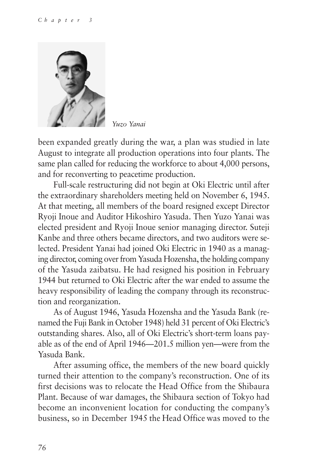

*Yuzo Yanai*

been expanded greatly during the war, a plan was studied in late August to integrate all production operations into four plants. The same plan called for reducing the workforce to about 4,000 persons, and for reconverting to peacetime production.

Full-scale restructuring did not begin at Oki Electric until after the extraordinary shareholders meeting held on November 6, 1945. At that meeting, all members of the board resigned except Director Ryoji Inoue and Auditor Hikoshiro Yasuda. Then Yuzo Yanai was elected president and Ryoji Inoue senior managing director. Suteji Kanbe and three others became directors, and two auditors were selected. President Yanai had joined Oki Electric in 1940 as a managing director, coming over from Yasuda Hozensha, the holding company of the Yasuda zaibatsu. He had resigned his position in February 1944 but returned to Oki Electric after the war ended to assume the heavy responsibility of leading the company through its reconstruction and reorganization.

As of August 1946, Yasuda Hozensha and the Yasuda Bank (renamed the Fuji Bank in October 1948) held 31 percent of Oki Electric's outstanding shares. Also, all of Oki Electric's short-term loans payable as of the end of April 1946—201.5 million yen—were from the Yasuda Bank.

After assuming office, the members of the new board quickly turned their attention to the company's reconstruction. One of its first decisions was to relocate the Head Office from the Shibaura Plant. Because of war damages, the Shibaura section of Tokyo had become an inconvenient location for conducting the company's business, so in December 1945 the Head Office was moved to the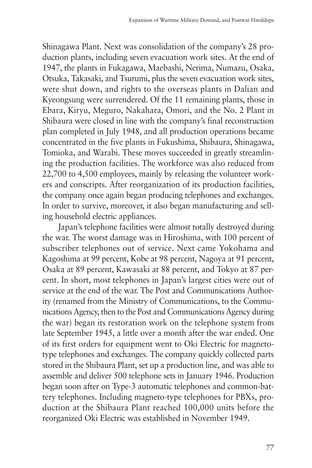Shinagawa Plant. Next was consolidation of the company's 28 production plants, including seven evacuation work sites. At the end of 1947, the plants in Fukagawa, Maebashi, Nerima, Numazu, Osaka, Otsuka, Takasaki, and Tsurumi, plus the seven evacuation work sites, were shut down, and rights to the overseas plants in Dalian and Kyeongsung were surrendered. Of the 11 remaining plants, those in Ebara, Kiryu, Meguro, Nakahara, Omori, and the No. 2 Plant in Shibaura were closed in line with the company's final reconstruction plan completed in July 1948, and all production operations became concentrated in the five plants in Fukushima, Shibaura, Shinagawa, Tomioka, and Warabi. These moves succeeded in greatly streamlining the production facilities. The workforce was also reduced from 22,700 to 4,500 employees, mainly by releasing the volunteer workers and conscripts. After reorganization of its production facilities, the company once again began producing telephones and exchanges. In order to survive, moreover, it also began manufacturing and selling household electric appliances.

Japan's telephone facilities were almost totally destroyed during the war. The worst damage was in Hiroshima, with 100 percent of subscriber telephones out of service. Next came Yokohama and Kagoshima at 99 percent, Kobe at 98 percent, Nagoya at 91 percent, Osaka at 89 percent, Kawasaki at 88 percent, and Tokyo at 87 percent. In short, most telephones in Japan's largest cities were out of service at the end of the war. The Post and Communications Authority (renamed from the Ministry of Communications, to the Communications Agency, then to the Post and Communications Agency during the war) began its restoration work on the telephone system from late September 1945, a little over a month after the war ended. One of its first orders for equipment went to Oki Electric for magnetotype telephones and exchanges. The company quickly collected parts stored in the Shibaura Plant, set up a production line, and was able to assemble and deliver 500 telephone sets in January 1946. Production began soon after on Type-3 automatic telephones and common-battery telephones. Including magneto-type telephones for PBXs, production at the Shibaura Plant reached 100,000 units before the reorganized Oki Electric was established in November 1949.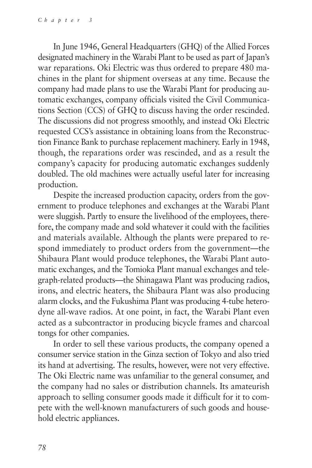In June 1946, General Headquarters (GHQ) of the Allied Forces designated machinery in the Warabi Plant to be used as part of Japan's war reparations. Oki Electric was thus ordered to prepare 480 machines in the plant for shipment overseas at any time. Because the company had made plans to use the Warabi Plant for producing automatic exchanges, company officials visited the Civil Communications Section (CCS) of GHQ to discuss having the order rescinded. The discussions did not progress smoothly, and instead Oki Electric requested CCS's assistance in obtaining loans from the Reconstruction Finance Bank to purchase replacement machinery. Early in 1948, though, the reparations order was rescinded, and as a result the company's capacity for producing automatic exchanges suddenly doubled. The old machines were actually useful later for increasing production.

Despite the increased production capacity, orders from the government to produce telephones and exchanges at the Warabi Plant were sluggish. Partly to ensure the livelihood of the employees, therefore, the company made and sold whatever it could with the facilities and materials available. Although the plants were prepared to respond immediately to product orders from the government—the Shibaura Plant would produce telephones, the Warabi Plant automatic exchanges, and the Tomioka Plant manual exchanges and telegraph-related products—the Shinagawa Plant was producing radios, irons, and electric heaters, the Shibaura Plant was also producing alarm clocks, and the Fukushima Plant was producing 4-tube heterodyne all-wave radios. At one point, in fact, the Warabi Plant even acted as a subcontractor in producing bicycle frames and charcoal tongs for other companies.

In order to sell these various products, the company opened a consumer service station in the Ginza section of Tokyo and also tried its hand at advertising. The results, however, were not very effective. The Oki Electric name was unfamiliar to the general consumer, and the company had no sales or distribution channels. Its amateurish approach to selling consumer goods made it difficult for it to compete with the well-known manufacturers of such goods and household electric appliances.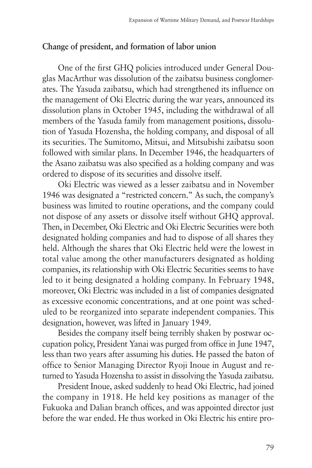## **Change of president, and formation of labor union**

One of the first GHQ policies introduced under General Douglas MacArthur was dissolution of the zaibatsu business conglomerates. The Yasuda zaibatsu, which had strengthened its influence on the management of Oki Electric during the war years, announced its dissolution plans in October 1945, including the withdrawal of all members of the Yasuda family from management positions, dissolution of Yasuda Hozensha, the holding company, and disposal of all its securities. The Sumitomo, Mitsui, and Mitsubishi zaibatsu soon followed with similar plans. In December 1946, the headquarters of the Asano zaibatsu was also specified as a holding company and was ordered to dispose of its securities and dissolve itself.

Oki Electric was viewed as a lesser zaibatsu and in November 1946 was designated a "restricted concern." As such, the company's business was limited to routine operations, and the company could not dispose of any assets or dissolve itself without GHQ approval. Then, in December, Oki Electric and Oki Electric Securities were both designated holding companies and had to dispose of all shares they held. Although the shares that Oki Electric held were the lowest in total value among the other manufacturers designated as holding companies, its relationship with Oki Electric Securities seems to have led to it being designated a holding company. In February 1948, moreover, Oki Electric was included in a list of companies designated as excessive economic concentrations, and at one point was scheduled to be reorganized into separate independent companies. This designation, however, was lifted in January 1949.

Besides the company itself being terribly shaken by postwar occupation policy, President Yanai was purged from office in June 1947, less than two years after assuming his duties. He passed the baton of office to Senior Managing Director Ryoji Inoue in August and returned to Yasuda Hozensha to assist in dissolving the Yasuda zaibatsu.

President Inoue, asked suddenly to head Oki Electric, had joined the company in 1918. He held key positions as manager of the Fukuoka and Dalian branch offices, and was appointed director just before the war ended. He thus worked in Oki Electric his entire pro-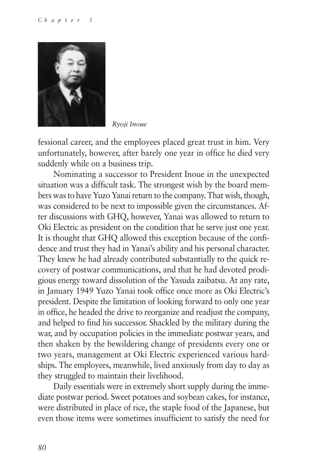

*Ryoji Inoue*

fessional career, and the employees placed great trust in him. Very unfortunately, however, after barely one year in office he died very suddenly while on a business trip.

Nominating a successor to President Inoue in the unexpected situation was a difficult task. The strongest wish by the board members was to have Yuzo Yanai return to the company. That wish, though, was considered to be next to impossible given the circumstances. After discussions with GHQ, however, Yanai was allowed to return to Oki Electric as president on the condition that he serve just one year. It is thought that GHQ allowed this exception because of the confidence and trust they had in Yanai's ability and his personal character. They knew he had already contributed substantially to the quick recovery of postwar communications, and that he had devoted prodigious energy toward dissolution of the Yasuda zaibatsu. At any rate, in January 1949 Yuzo Yanai took office once more as Oki Electric's president. Despite the limitation of looking forward to only one year in office, he headed the drive to reorganize and readjust the company, and helped to find his successor. Shackled by the military during the war, and by occupation policies in the immediate postwar years, and then shaken by the bewildering change of presidents every one or two years, management at Oki Electric experienced various hardships. The employees, meanwhile, lived anxiously from day to day as they struggled to maintain their livelihood.

Daily essentials were in extremely short supply during the immediate postwar period. Sweet potatoes and soybean cakes, for instance, were distributed in place of rice, the staple food of the Japanese, but even those items were sometimes insufficient to satisfy the need for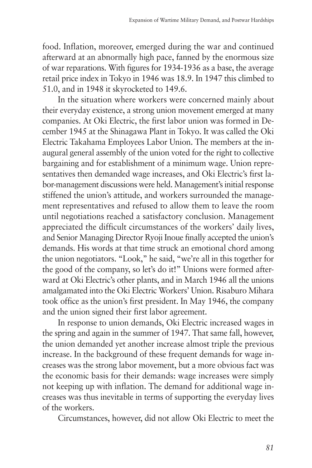food. Inflation, moreover, emerged during the war and continued afterward at an abnormally high pace, fanned by the enormous size of war reparations. With figures for 1934-1936 as a base, the average retail price index in Tokyo in 1946 was 18.9. In 1947 this climbed to 51.0, and in 1948 it skyrocketed to 149.6.

In the situation where workers were concerned mainly about their everyday existence, a strong union movement emerged at many companies. At Oki Electric, the first labor union was formed in December 1945 at the Shinagawa Plant in Tokyo. It was called the Oki Electric Takahama Employees Labor Union. The members at the inaugural general assembly of the union voted for the right to collective bargaining and for establishment of a minimum wage. Union representatives then demanded wage increases, and Oki Electric's first labor-management discussions were held. Management's initial response stiffened the union's attitude, and workers surrounded the management representatives and refused to allow them to leave the room until negotiations reached a satisfactory conclusion. Management appreciated the difficult circumstances of the workers' daily lives, and Senior Managing Director Ryoji Inoue finally accepted the union's demands. His words at that time struck an emotional chord among the union negotiators. "Look," he said, "we're all in this together for the good of the company, so let's do it!" Unions were formed afterward at Oki Electric's other plants, and in March 1946 all the unions amalgamated into the Oki Electric Workers' Union. Risaburo Mihara took office as the union's first president. In May 1946, the company and the union signed their first labor agreement.

In response to union demands, Oki Electric increased wages in the spring and again in the summer of 1947. That same fall, however, the union demanded yet another increase almost triple the previous increase. In the background of these frequent demands for wage increases was the strong labor movement, but a more obvious fact was the economic basis for their demands: wage increases were simply not keeping up with inflation. The demand for additional wage increases was thus inevitable in terms of supporting the everyday lives of the workers.

Circumstances, however, did not allow Oki Electric to meet the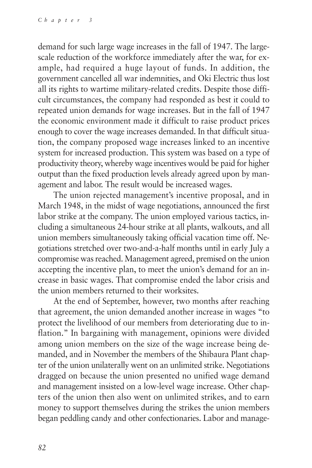demand for such large wage increases in the fall of 1947. The largescale reduction of the workforce immediately after the war, for example, had required a huge layout of funds. In addition, the government cancelled all war indemnities, and Oki Electric thus lost all its rights to wartime military-related credits. Despite those difficult circumstances, the company had responded as best it could to repeated union demands for wage increases. But in the fall of 1947 the economic environment made it difficult to raise product prices enough to cover the wage increases demanded. In that difficult situation, the company proposed wage increases linked to an incentive system for increased production. This system was based on a type of productivity theory, whereby wage incentives would be paid for higher output than the fixed production levels already agreed upon by management and labor. The result would be increased wages.

The union rejected management's incentive proposal, and in March 1948, in the midst of wage negotiations, announced the first labor strike at the company. The union employed various tactics, including a simultaneous 24-hour strike at all plants, walkouts, and all union members simultaneously taking official vacation time off. Negotiations stretched over two-and-a-half months until in early July a compromise was reached. Management agreed, premised on the union accepting the incentive plan, to meet the union's demand for an increase in basic wages. That compromise ended the labor crisis and the union members returned to their worksites.

At the end of September, however, two months after reaching that agreement, the union demanded another increase in wages "to protect the livelihood of our members from deteriorating due to inflation." In bargaining with management, opinions were divided among union members on the size of the wage increase being demanded, and in November the members of the Shibaura Plant chapter of the union unilaterally went on an unlimited strike. Negotiations dragged on because the union presented no unified wage demand and management insisted on a low-level wage increase. Other chapters of the union then also went on unlimited strikes, and to earn money to support themselves during the strikes the union members began peddling candy and other confectionaries. Labor and manage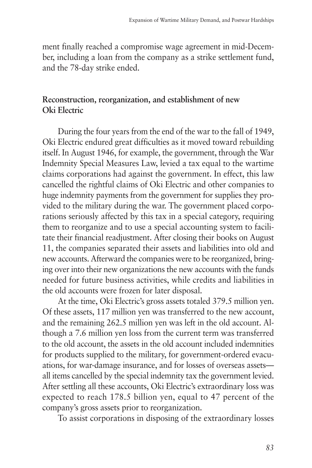ment finally reached a compromise wage agreement in mid-December, including a loan from the company as a strike settlement fund, and the 78-day strike ended.

## **Reconstruction, reorganization, and establishment of new Oki Electric**

During the four years from the end of the war to the fall of 1949, Oki Electric endured great difficulties as it moved toward rebuilding itself. In August 1946, for example, the government, through the War Indemnity Special Measures Law, levied a tax equal to the wartime claims corporations had against the government. In effect, this law cancelled the rightful claims of Oki Electric and other companies to huge indemnity payments from the government for supplies they provided to the military during the war. The government placed corporations seriously affected by this tax in a special category, requiring them to reorganize and to use a special accounting system to facilitate their financial readjustment. After closing their books on August 11, the companies separated their assets and liabilities into old and new accounts. Afterward the companies were to be reorganized, bringing over into their new organizations the new accounts with the funds needed for future business activities, while credits and liabilities in the old accounts were frozen for later disposal.

At the time, Oki Electric's gross assets totaled 379.5 million yen. Of these assets, 117 million yen was transferred to the new account, and the remaining 262.5 million yen was left in the old account. Although a 7.6 million yen loss from the current term was transferred to the old account, the assets in the old account included indemnities for products supplied to the military, for government-ordered evacuations, for war-damage insurance, and for losses of overseas assets all items cancelled by the special indemnity tax the government levied. After settling all these accounts, Oki Electric's extraordinary loss was expected to reach 178.5 billion yen, equal to 47 percent of the company's gross assets prior to reorganization.

To assist corporations in disposing of the extraordinary losses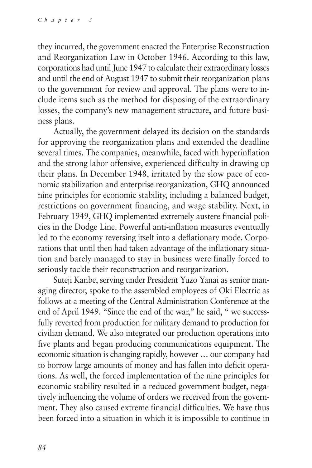they incurred, the government enacted the Enterprise Reconstruction and Reorganization Law in October 1946. According to this law, corporations had until June 1947 to calculate their extraordinary losses and until the end of August 1947 to submit their reorganization plans to the government for review and approval. The plans were to include items such as the method for disposing of the extraordinary losses, the company's new management structure, and future business plans.

Actually, the government delayed its decision on the standards for approving the reorganization plans and extended the deadline several times. The companies, meanwhile, faced with hyperinflation and the strong labor offensive, experienced difficulty in drawing up their plans. In December 1948, irritated by the slow pace of economic stabilization and enterprise reorganization, GHQ announced nine principles for economic stability, including a balanced budget, restrictions on government financing, and wage stability. Next, in February 1949, GHQ implemented extremely austere financial policies in the Dodge Line. Powerful anti-inflation measures eventually led to the economy reversing itself into a deflationary mode. Corporations that until then had taken advantage of the inflationary situation and barely managed to stay in business were finally forced to seriously tackle their reconstruction and reorganization.

Suteji Kanbe, serving under President Yuzo Yanai as senior managing director, spoke to the assembled employees of Oki Electric as follows at a meeting of the Central Administration Conference at the end of April 1949. "Since the end of the war," he said, " we successfully reverted from production for military demand to production for civilian demand. We also integrated our production operations into five plants and began producing communications equipment. The economic situation is changing rapidly, however … our company had to borrow large amounts of money and has fallen into deficit operations. As well, the forced implementation of the nine principles for economic stability resulted in a reduced government budget, negatively influencing the volume of orders we received from the government. They also caused extreme financial difficulties. We have thus been forced into a situation in which it is impossible to continue in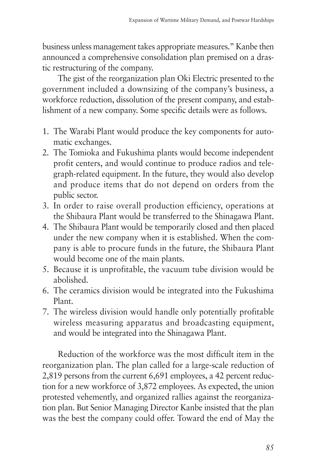business unless management takes appropriate measures." Kanbe then announced a comprehensive consolidation plan premised on a drastic restructuring of the company.

The gist of the reorganization plan Oki Electric presented to the government included a downsizing of the company's business, a workforce reduction, dissolution of the present company, and establishment of a new company. Some specific details were as follows.

- 1. The Warabi Plant would produce the key components for automatic exchanges.
- 2. The Tomioka and Fukushima plants would become independent profit centers, and would continue to produce radios and telegraph-related equipment. In the future, they would also develop and produce items that do not depend on orders from the public sector.
- 3. In order to raise overall production efficiency, operations at the Shibaura Plant would be transferred to the Shinagawa Plant.
- 4. The Shibaura Plant would be temporarily closed and then placed under the new company when it is established. When the company is able to procure funds in the future, the Shibaura Plant would become one of the main plants.
- 5. Because it is unprofitable, the vacuum tube division would be abolished.
- 6. The ceramics division would be integrated into the Fukushima Plant.
- 7. The wireless division would handle only potentially profitable wireless measuring apparatus and broadcasting equipment, and would be integrated into the Shinagawa Plant.

Reduction of the workforce was the most difficult item in the reorganization plan. The plan called for a large-scale reduction of 2,819 persons from the current 6,691 employees, a 42 percent reduction for a new workforce of 3,872 employees. As expected, the union protested vehemently, and organized rallies against the reorganization plan. But Senior Managing Director Kanbe insisted that the plan was the best the company could offer. Toward the end of May the